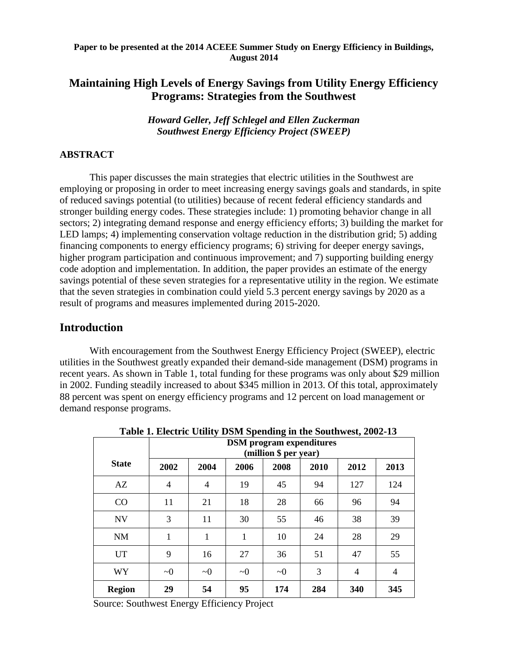#### **Paper to be presented at the 2014 ACEEE Summer Study on Energy Efficiency in Buildings, August 2014**

# **Maintaining High Levels of Energy Savings from Utility Energy Efficiency Programs: Strategies from the Southwest**

*Howard Geller, Jeff Schlegel and Ellen Zuckerman Southwest Energy Efficiency Project (SWEEP)* 

### **ABSTRACT**

This paper discusses the main strategies that electric utilities in the Southwest are employing or proposing in order to meet increasing energy savings goals and standards, in spite of reduced savings potential (to utilities) because of recent federal efficiency standards and stronger building energy codes. These strategies include: 1) promoting behavior change in all sectors; 2) integrating demand response and energy efficiency efforts; 3) building the market for LED lamps; 4) implementing conservation voltage reduction in the distribution grid; 5) adding financing components to energy efficiency programs; 6) striving for deeper energy savings, higher program participation and continuous improvement; and 7) supporting building energy code adoption and implementation. In addition, the paper provides an estimate of the energy savings potential of these seven strategies for a representative utility in the region. We estimate that the seven strategies in combination could yield 5.3 percent energy savings by 2020 as a result of programs and measures implemented during 2015-2020.

# **Introduction**

With encouragement from the Southwest Energy Efficiency Project (SWEEP), electric utilities in the Southwest greatly expanded their demand-side management (DSM) programs in recent years. As shown in Table 1, total funding for these programs was only about \$29 million in 2002. Funding steadily increased to about \$345 million in 2013. Of this total, approximately 88 percent was spent on energy efficiency programs and 12 percent on load management or demand response programs.

|               | Lable 1. Electric Utility Dolvi Spending in the Southwest, 2002-13<br><b>DSM</b> program expenditures<br>(million \$ per year) |          |          |          |      |      |                |  |
|---------------|--------------------------------------------------------------------------------------------------------------------------------|----------|----------|----------|------|------|----------------|--|
| <b>State</b>  | 2002                                                                                                                           | 2004     | 2006     | 2008     | 2010 | 2012 | 2013           |  |
| AZ            | 4                                                                                                                              | 4        | 19       | 45       | 94   | 127  | 124            |  |
| CO            | 11                                                                                                                             | 21       | 18       | 28       | 66   | 96   | 94             |  |
| <b>NV</b>     | 3                                                                                                                              | 11       | 30       | 55       | 46   | 38   | 39             |  |
| <b>NM</b>     | 1                                                                                                                              | 1        | 1        | 10       | 24   | 28   | 29             |  |
| <b>UT</b>     | 9                                                                                                                              | 16       | 27       | 36       | 51   | 47   | 55             |  |
| <b>WY</b>     | $\sim 0$                                                                                                                       | $\sim 0$ | $\sim 0$ | $\sim 0$ | 3    | 4    | $\overline{4}$ |  |
| <b>Region</b> | 29                                                                                                                             | 54       | 95       | 174      | 284  | 340  | 345            |  |

**Table 1. Electric Utility DSM Spending in the Southwest, 2002-13**

Source: Southwest Energy Efficiency Project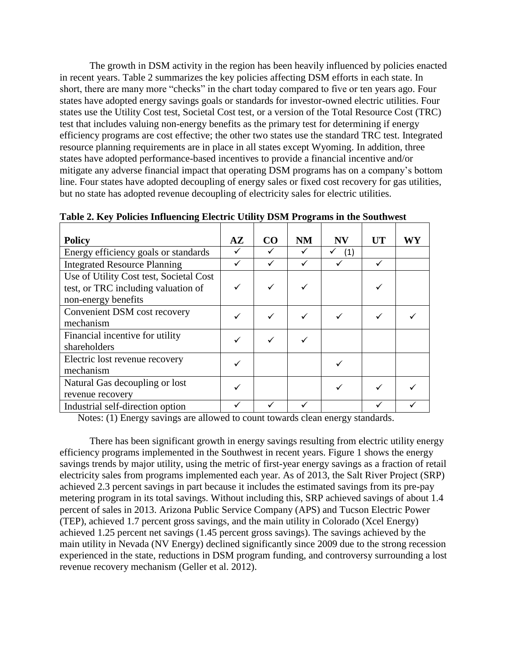The growth in DSM activity in the region has been heavily influenced by policies enacted in recent years. Table 2 summarizes the key policies affecting DSM efforts in each state. In short, there are many more "checks" in the chart today compared to five or ten years ago. Four states have adopted energy savings goals or standards for investor-owned electric utilities. Four states use the Utility Cost test, Societal Cost test, or a version of the Total Resource Cost (TRC) test that includes valuing non-energy benefits as the primary test for determining if energy efficiency programs are cost effective; the other two states use the standard TRC test. Integrated resource planning requirements are in place in all states except Wyoming. In addition, three states have adopted performance-based incentives to provide a financial incentive and/or mitigate any adverse financial impact that operating DSM programs has on a company's bottom line. Four states have adopted decoupling of energy sales or fixed cost recovery for gas utilities, but no state has adopted revenue decoupling of electricity sales for electric utilities.

| <b>Policy</b>                           | $A\mathbf{Z}$ | CO | <b>NM</b> | <b>NV</b> | <b>UT</b> | WY |
|-----------------------------------------|---------------|----|-----------|-----------|-----------|----|
| Energy efficiency goals or standards    |               |    |           | (1)       |           |    |
| <b>Integrated Resource Planning</b>     |               |    |           |           |           |    |
| Use of Utility Cost test, Societal Cost |               |    |           |           |           |    |
| test, or TRC including valuation of     |               |    |           |           |           |    |
| non-energy benefits                     |               |    |           |           |           |    |
| Convenient DSM cost recovery            |               |    |           |           |           |    |
| mechanism                               |               |    |           |           |           |    |
| Financial incentive for utility         |               |    |           |           |           |    |
| shareholders                            |               |    |           |           |           |    |
| Electric lost revenue recovery          |               |    |           |           |           |    |
| mechanism                               |               |    |           |           |           |    |
| Natural Gas decoupling or lost          |               |    |           |           |           |    |
| revenue recovery                        |               |    |           |           |           |    |
| Industrial self-direction option        |               |    |           |           |           |    |

**Table 2. Key Policies Influencing Electric Utility DSM Programs in the Southwest**

Notes: (1) Energy savings are allowed to count towards clean energy standards.

There has been significant growth in energy savings resulting from electric utility energy efficiency programs implemented in the Southwest in recent years. Figure 1 shows the energy savings trends by major utility, using the metric of first-year energy savings as a fraction of retail electricity sales from programs implemented each year. As of 2013, the Salt River Project (SRP) achieved 2.3 percent savings in part because it includes the estimated savings from its pre-pay metering program in its total savings. Without including this, SRP achieved savings of about 1.4 percent of sales in 2013. Arizona Public Service Company (APS) and Tucson Electric Power (TEP), achieved 1.7 percent gross savings, and the main utility in Colorado (Xcel Energy) achieved 1.25 percent net savings (1.45 percent gross savings). The savings achieved by the main utility in Nevada (NV Energy) declined significantly since 2009 due to the strong recession experienced in the state, reductions in DSM program funding, and controversy surrounding a lost revenue recovery mechanism (Geller et al. 2012).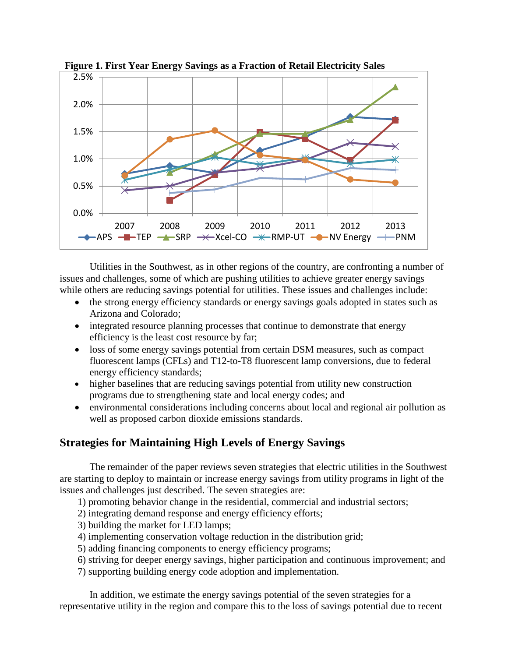

 **Figure 1. First Year Energy Savings as a Fraction of Retail Electricity Sales**

Utilities in the Southwest, as in other regions of the country, are confronting a number of issues and challenges, some of which are pushing utilities to achieve greater energy savings while others are reducing savings potential for utilities. These issues and challenges include:

- the strong energy efficiency standards or energy savings goals adopted in states such as Arizona and Colorado;
- integrated resource planning processes that continue to demonstrate that energy efficiency is the least cost resource by far;
- loss of some energy savings potential from certain DSM measures, such as compact fluorescent lamps (CFLs) and T12-to-T8 fluorescent lamp conversions, due to federal energy efficiency standards;
- higher baselines that are reducing savings potential from utility new construction programs due to strengthening state and local energy codes; and
- environmental considerations including concerns about local and regional air pollution as well as proposed carbon dioxide emissions standards.

# **Strategies for Maintaining High Levels of Energy Savings**

The remainder of the paper reviews seven strategies that electric utilities in the Southwest are starting to deploy to maintain or increase energy savings from utility programs in light of the issues and challenges just described. The seven strategies are:

- 1) promoting behavior change in the residential, commercial and industrial sectors;
- 2) integrating demand response and energy efficiency efforts;
- 3) building the market for LED lamps;
- 4) implementing conservation voltage reduction in the distribution grid;
- 5) adding financing components to energy efficiency programs;
- 6) striving for deeper energy savings, higher participation and continuous improvement; and
- 7) supporting building energy code adoption and implementation.

In addition, we estimate the energy savings potential of the seven strategies for a representative utility in the region and compare this to the loss of savings potential due to recent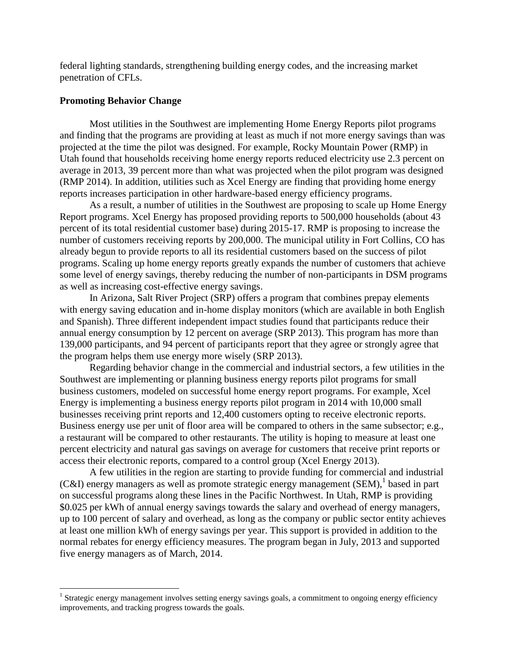federal lighting standards, strengthening building energy codes, and the increasing market penetration of CFLs.

#### **Promoting Behavior Change**

 $\overline{a}$ 

Most utilities in the Southwest are implementing Home Energy Reports pilot programs and finding that the programs are providing at least as much if not more energy savings than was projected at the time the pilot was designed. For example, Rocky Mountain Power (RMP) in Utah found that households receiving home energy reports reduced electricity use 2.3 percent on average in 2013, 39 percent more than what was projected when the pilot program was designed (RMP 2014). In addition, utilities such as Xcel Energy are finding that providing home energy reports increases participation in other hardware-based energy efficiency programs.

As a result, a number of utilities in the Southwest are proposing to scale up Home Energy Report programs. Xcel Energy has proposed providing reports to 500,000 households (about 43 percent of its total residential customer base) during 2015-17. RMP is proposing to increase the number of customers receiving reports by 200,000. The municipal utility in Fort Collins, CO has already begun to provide reports to all its residential customers based on the success of pilot programs. Scaling up home energy reports greatly expands the number of customers that achieve some level of energy savings, thereby reducing the number of non-participants in DSM programs as well as increasing cost-effective energy savings.

In Arizona, Salt River Project (SRP) offers a program that combines prepay elements with energy saving education and in-home display monitors (which are available in both English and Spanish). Three different independent impact studies found that participants reduce their annual energy consumption by 12 percent on average (SRP 2013). This program has more than 139,000 participants, and 94 percent of participants report that they agree or strongly agree that the program helps them use energy more wisely (SRP 2013).

Regarding behavior change in the commercial and industrial sectors, a few utilities in the Southwest are implementing or planning business energy reports pilot programs for small business customers, modeled on successful home energy report programs. For example, Xcel Energy is implementing a business energy reports pilot program in 2014 with 10,000 small businesses receiving print reports and 12,400 customers opting to receive electronic reports. Business energy use per unit of floor area will be compared to others in the same subsector; e.g., a restaurant will be compared to other restaurants. The utility is hoping to measure at least one percent electricity and natural gas savings on average for customers that receive print reports or access their electronic reports, compared to a control group (Xcel Energy 2013).

A few utilities in the region are starting to provide funding for commercial and industrial (C&I) energy managers as well as promote strategic energy management (SEM), 1 based in part on successful programs along these lines in the Pacific Northwest. In Utah, RMP is providing \$0.025 per kWh of annual energy savings towards the salary and overhead of energy managers, up to 100 percent of salary and overhead, as long as the company or public sector entity achieves at least one million kWh of energy savings per year. This support is provided in addition to the normal rebates for energy efficiency measures. The program began in July, 2013 and supported five energy managers as of March, 2014.

<sup>&</sup>lt;sup>1</sup> Strategic energy management involves setting energy savings goals, a commitment to ongoing energy efficiency improvements, and tracking progress towards the goals.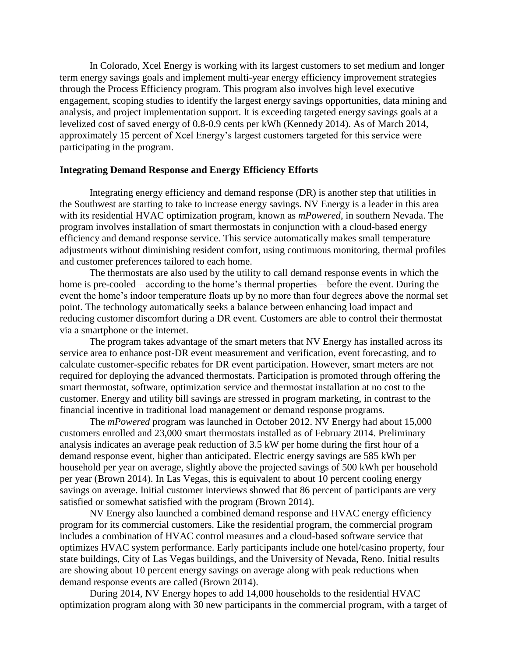In Colorado, Xcel Energy is working with its largest customers to set medium and longer term energy savings goals and implement multi-year energy efficiency improvement strategies through the Process Efficiency program. This program also involves high level executive engagement, scoping studies to identify the largest energy savings opportunities, data mining and analysis, and project implementation support. It is exceeding targeted energy savings goals at a levelized cost of saved energy of 0.8-0.9 cents per kWh (Kennedy 2014). As of March 2014, approximately 15 percent of Xcel Energy's largest customers targeted for this service were participating in the program.

#### **Integrating Demand Response and Energy Efficiency Efforts**

Integrating energy efficiency and demand response (DR) is another step that utilities in the Southwest are starting to take to increase energy savings. NV Energy is a leader in this area with its residential HVAC optimization program, known as *mPowered*, in southern Nevada. The program involves installation of smart thermostats in conjunction with a cloud-based energy efficiency and demand response service. This service automatically makes small temperature adjustments without diminishing resident comfort, using continuous monitoring, thermal profiles and customer preferences tailored to each home.

The thermostats are also used by the utility to call demand response events in which the home is pre-cooled—according to the home's thermal properties—before the event. During the event the home's indoor temperature floats up by no more than four degrees above the normal set point. The technology automatically seeks a balance between enhancing load impact and reducing customer discomfort during a DR event. Customers are able to control their thermostat via a smartphone or the internet.

The program takes advantage of the smart meters that NV Energy has installed across its service area to enhance post-DR event measurement and verification, event forecasting, and to calculate customer-specific rebates for DR event participation. However, smart meters are not required for deploying the advanced thermostats. Participation is promoted through offering the smart thermostat, software, optimization service and thermostat installation at no cost to the customer. Energy and utility bill savings are stressed in program marketing, in contrast to the financial incentive in traditional load management or demand response programs.

The *mPowered* program was launched in October 2012. NV Energy had about 15,000 customers enrolled and 23,000 smart thermostats installed as of February 2014. Preliminary analysis indicates an average peak reduction of 3.5 kW per home during the first hour of a demand response event, higher than anticipated. Electric energy savings are 585 kWh per household per year on average, slightly above the projected savings of 500 kWh per household per year (Brown 2014). In Las Vegas, this is equivalent to about 10 percent cooling energy savings on average. Initial customer interviews showed that 86 percent of participants are very satisfied or somewhat satisfied with the program (Brown 2014).

NV Energy also launched a combined demand response and HVAC energy efficiency program for its commercial customers. Like the residential program, the commercial program includes a combination of HVAC control measures and a cloud-based software service that optimizes HVAC system performance. Early participants include one hotel/casino property, four state buildings, City of Las Vegas buildings, and the University of Nevada, Reno. Initial results are showing about 10 percent energy savings on average along with peak reductions when demand response events are called (Brown 2014).

During 2014, NV Energy hopes to add 14,000 households to the residential HVAC optimization program along with 30 new participants in the commercial program, with a target of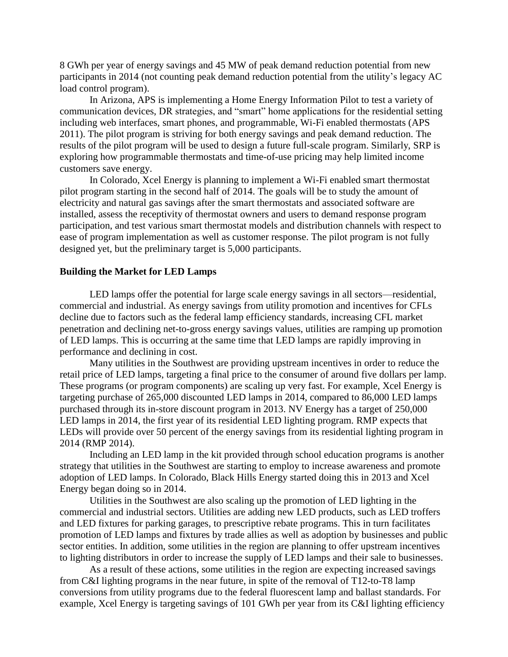8 GWh per year of energy savings and 45 MW of peak demand reduction potential from new participants in 2014 (not counting peak demand reduction potential from the utility's legacy AC load control program).

In Arizona, APS is implementing a Home Energy Information Pilot to test a variety of communication devices, DR strategies, and "smart" home applications for the residential setting including web interfaces, smart phones, and programmable, Wi-Fi enabled thermostats (APS 2011). The pilot program is striving for both energy savings and peak demand reduction. The results of the pilot program will be used to design a future full-scale program. Similarly, SRP is exploring how programmable thermostats and time-of-use pricing may help limited income customers save energy.

In Colorado, Xcel Energy is planning to implement a Wi-Fi enabled smart thermostat pilot program starting in the second half of 2014. The goals will be to study the amount of electricity and natural gas savings after the smart thermostats and associated software are installed, assess the receptivity of thermostat owners and users to demand response program participation, and test various smart thermostat models and distribution channels with respect to ease of program implementation as well as customer response. The pilot program is not fully designed yet, but the preliminary target is 5,000 participants.

#### **Building the Market for LED Lamps**

LED lamps offer the potential for large scale energy savings in all sectors—residential, commercial and industrial. As energy savings from utility promotion and incentives for CFLs decline due to factors such as the federal lamp efficiency standards, increasing CFL market penetration and declining net-to-gross energy savings values, utilities are ramping up promotion of LED lamps. This is occurring at the same time that LED lamps are rapidly improving in performance and declining in cost.

Many utilities in the Southwest are providing upstream incentives in order to reduce the retail price of LED lamps, targeting a final price to the consumer of around five dollars per lamp. These programs (or program components) are scaling up very fast. For example, Xcel Energy is targeting purchase of 265,000 discounted LED lamps in 2014, compared to 86,000 LED lamps purchased through its in-store discount program in 2013. NV Energy has a target of 250,000 LED lamps in 2014, the first year of its residential LED lighting program. RMP expects that LEDs will provide over 50 percent of the energy savings from its residential lighting program in 2014 (RMP 2014).

Including an LED lamp in the kit provided through school education programs is another strategy that utilities in the Southwest are starting to employ to increase awareness and promote adoption of LED lamps. In Colorado, Black Hills Energy started doing this in 2013 and Xcel Energy began doing so in 2014.

Utilities in the Southwest are also scaling up the promotion of LED lighting in the commercial and industrial sectors. Utilities are adding new LED products, such as LED troffers and LED fixtures for parking garages, to prescriptive rebate programs. This in turn facilitates promotion of LED lamps and fixtures by trade allies as well as adoption by businesses and public sector entities. In addition, some utilities in the region are planning to offer upstream incentives to lighting distributors in order to increase the supply of LED lamps and their sale to businesses.

As a result of these actions, some utilities in the region are expecting increased savings from C&I lighting programs in the near future, in spite of the removal of T12-to-T8 lamp conversions from utility programs due to the federal fluorescent lamp and ballast standards. For example, Xcel Energy is targeting savings of 101 GWh per year from its C&I lighting efficiency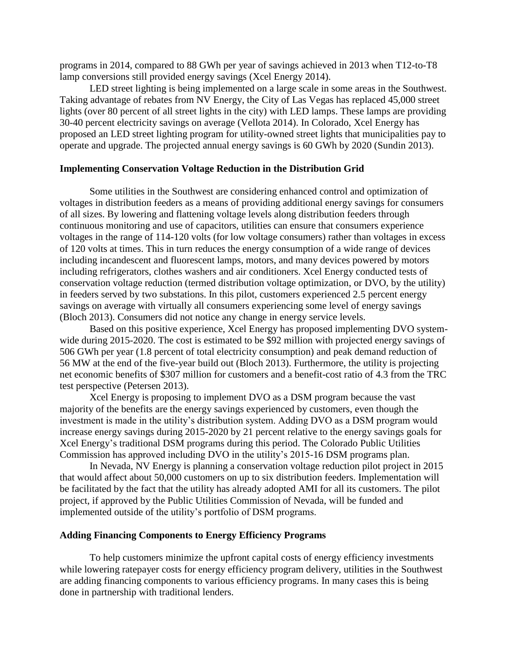programs in 2014, compared to 88 GWh per year of savings achieved in 2013 when T12-to-T8 lamp conversions still provided energy savings (Xcel Energy 2014).

LED street lighting is being implemented on a large scale in some areas in the Southwest. Taking advantage of rebates from NV Energy, the City of Las Vegas has replaced 45,000 street lights (over 80 percent of all street lights in the city) with LED lamps. These lamps are providing 30-40 percent electricity savings on average (Vellota 2014). In Colorado, Xcel Energy has proposed an LED street lighting program for utility-owned street lights that municipalities pay to operate and upgrade. The projected annual energy savings is 60 GWh by 2020 (Sundin 2013).

#### **Implementing Conservation Voltage Reduction in the Distribution Grid**

Some utilities in the Southwest are considering enhanced control and optimization of voltages in distribution feeders as a means of providing additional energy savings for consumers of all sizes. By lowering and flattening voltage levels along distribution feeders through continuous monitoring and use of capacitors, utilities can ensure that consumers experience voltages in the range of 114-120 volts (for low voltage consumers) rather than voltages in excess of 120 volts at times. This in turn reduces the energy consumption of a wide range of devices including incandescent and fluorescent lamps, motors, and many devices powered by motors including refrigerators, clothes washers and air conditioners. Xcel Energy conducted tests of conservation voltage reduction (termed distribution voltage optimization, or DVO, by the utility) in feeders served by two substations. In this pilot, customers experienced 2.5 percent energy savings on average with virtually all consumers experiencing some level of energy savings (Bloch 2013). Consumers did not notice any change in energy service levels.

Based on this positive experience, Xcel Energy has proposed implementing DVO systemwide during 2015-2020. The cost is estimated to be \$92 million with projected energy savings of 506 GWh per year (1.8 percent of total electricity consumption) and peak demand reduction of 56 MW at the end of the five-year build out (Bloch 2013). Furthermore, the utility is projecting net economic benefits of \$307 million for customers and a benefit-cost ratio of 4.3 from the TRC test perspective (Petersen 2013).

Xcel Energy is proposing to implement DVO as a DSM program because the vast majority of the benefits are the energy savings experienced by customers, even though the investment is made in the utility's distribution system. Adding DVO as a DSM program would increase energy savings during 2015-2020 by 21 percent relative to the energy savings goals for Xcel Energy's traditional DSM programs during this period. The Colorado Public Utilities Commission has approved including DVO in the utility's 2015-16 DSM programs plan.

In Nevada, NV Energy is planning a conservation voltage reduction pilot project in 2015 that would affect about 50,000 customers on up to six distribution feeders. Implementation will be facilitated by the fact that the utility has already adopted AMI for all its customers. The pilot project, if approved by the Public Utilities Commission of Nevada, will be funded and implemented outside of the utility's portfolio of DSM programs.

#### **Adding Financing Components to Energy Efficiency Programs**

To help customers minimize the upfront capital costs of energy efficiency investments while lowering ratepayer costs for energy efficiency program delivery, utilities in the Southwest are adding financing components to various efficiency programs. In many cases this is being done in partnership with traditional lenders.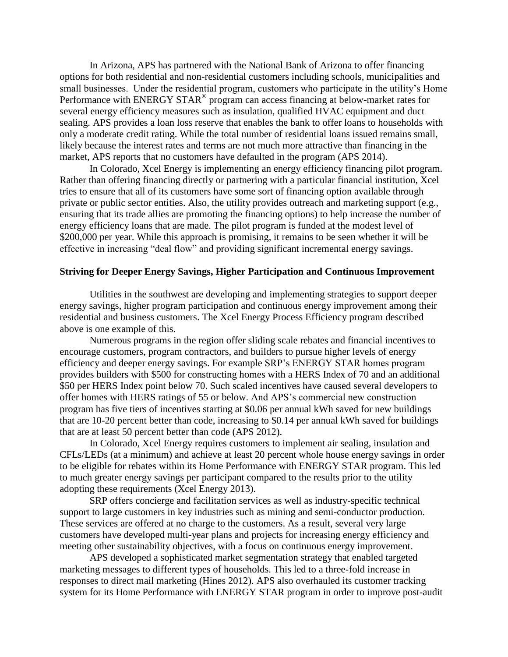In Arizona, APS has partnered with the National Bank of Arizona to offer financing options for both residential and non-residential customers including schools, municipalities and small businesses. Under the residential program, customers who participate in the utility's Home Performance with ENERGY STAR<sup>®</sup> program can access financing at below-market rates for several energy efficiency measures such as insulation, qualified HVAC equipment and duct sealing. APS provides a loan loss reserve that enables the bank to offer loans to households with only a moderate credit rating. While the total number of residential loans issued remains small, likely because the interest rates and terms are not much more attractive than financing in the market, APS reports that no customers have defaulted in the program (APS 2014).

In Colorado, Xcel Energy is implementing an energy efficiency financing pilot program. Rather than offering financing directly or partnering with a particular financial institution, Xcel tries to ensure that all of its customers have some sort of financing option available through private or public sector entities. Also, the utility provides outreach and marketing support (e.g., ensuring that its trade allies are promoting the financing options) to help increase the number of energy efficiency loans that are made. The pilot program is funded at the modest level of \$200,000 per year. While this approach is promising, it remains to be seen whether it will be effective in increasing "deal flow" and providing significant incremental energy savings.

#### **Striving for Deeper Energy Savings, Higher Participation and Continuous Improvement**

Utilities in the southwest are developing and implementing strategies to support deeper energy savings, higher program participation and continuous energy improvement among their residential and business customers. The Xcel Energy Process Efficiency program described above is one example of this.

Numerous programs in the region offer sliding scale rebates and financial incentives to encourage customers, program contractors, and builders to pursue higher levels of energy efficiency and deeper energy savings. For example SRP's ENERGY STAR homes program provides builders with \$500 for constructing homes with a HERS Index of 70 and an additional \$50 per HERS Index point below 70. Such scaled incentives have caused several developers to offer homes with HERS ratings of 55 or below. And APS's commercial new construction program has five tiers of incentives starting at \$0.06 per annual kWh saved for new buildings that are 10-20 percent better than code, increasing to \$0.14 per annual kWh saved for buildings that are at least 50 percent better than code (APS 2012).

In Colorado, Xcel Energy requires customers to implement air sealing, insulation and CFLs/LEDs (at a minimum) and achieve at least 20 percent whole house energy savings in order to be eligible for rebates within its Home Performance with ENERGY STAR program. This led to much greater energy savings per participant compared to the results prior to the utility adopting these requirements (Xcel Energy 2013).

SRP offers concierge and facilitation services as well as industry-specific technical support to large customers in key industries such as mining and semi-conductor production. These services are offered at no charge to the customers. As a result, several very large customers have developed multi-year plans and projects for increasing energy efficiency and meeting other sustainability objectives, with a focus on continuous energy improvement.

APS developed a sophisticated market segmentation strategy that enabled targeted marketing messages to different types of households. This led to a three-fold increase in responses to direct mail marketing (Hines 2012). APS also overhauled its customer tracking system for its Home Performance with ENERGY STAR program in order to improve post-audit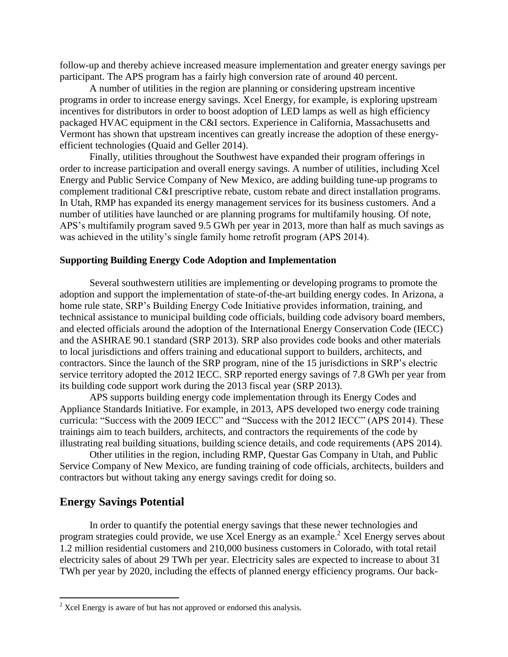follow-up and thereby achieve increased measure implementation and greater energy savings per participant. The APS program has a fairly high conversion rate of around 40 percent.

A number of utilities in the region are planning or considering upstream incentive programs in order to increase energy savings. Xcel Energy, for example, is exploring upstream incentives for distributors in order to boost adoption of LED lamps as well as high efficiency packaged HVAC equipment in the C&I sectors. Experience in California, Massachusetts and Vermont has shown that upstream incentives can greatly increase the adoption of these energyefficient technologies (Quaid and Geller 2014).

Finally, utilities throughout the Southwest have expanded their program offerings in order to increase participation and overall energy savings. A number of utilities, including Xcel Energy and Public Service Company of New Mexico, are adding building tune-up programs to complement traditional C&I prescriptive rebate, custom rebate and direct installation programs. In Utah, RMP has expanded its energy management services for its business customers. And a number of utilities have launched or are planning programs for multifamily housing. Of note, APS's multifamily program saved 9.5 GWh per year in 2013, more than half as much savings as was achieved in the utility's single family home retrofit program (APS 2014).

#### **Supporting Building Energy Code Adoption and Implementation**

Several southwestern utilities are implementing or developing programs to promote the adoption and support the implementation of state-of-the-art building energy codes. In Arizona, a home rule state, SRP's Building Energy Code Initiative provides information, training, and technical assistance to municipal building code officials, building code advisory board members, and elected officials around the adoption of the International Energy Conservation Code (IECC) and the ASHRAE 90.1 standard (SRP 2013). SRP also provides code books and other materials to local jurisdictions and offers training and educational support to builders, architects, and contractors. Since the launch of the SRP program, nine of the 15 jurisdictions in SRP's electric service territory adopted the 2012 IECC. SRP reported energy savings of 7.8 GWh per year from its building code support work during the 2013 fiscal year (SRP 2013).

APS supports building energy code implementation through its Energy Codes and Appliance Standards Initiative. For example, in 2013, APS developed two energy code training curricula: "Success with the 2009 IECC" and "Success with the 2012 IECC" (APS 2014). These trainings aim to teach builders, architects, and contractors the requirements of the code by illustrating real building situations, building science details, and code requirements (APS 2014).

Other utilities in the region, including RMP, Questar Gas Company in Utah, and Public Service Company of New Mexico, are funding training of code officials, architects, builders and contractors but without taking any energy savings credit for doing so.

### **Energy Savings Potential**

 $\overline{a}$ 

In order to quantify the potential energy savings that these newer technologies and program strategies could provide, we use Xcel Energy as an example.<sup>2</sup> Xcel Energy serves about 1.2 million residential customers and 210,000 business customers in Colorado, with total retail electricity sales of about 29 TWh per year. Electricity sales are expected to increase to about 31 TWh per year by 2020, including the effects of planned energy efficiency programs. Our back-

 $2 \text{ Xcel Energy}$  is aware of but has not approved or endorsed this analysis.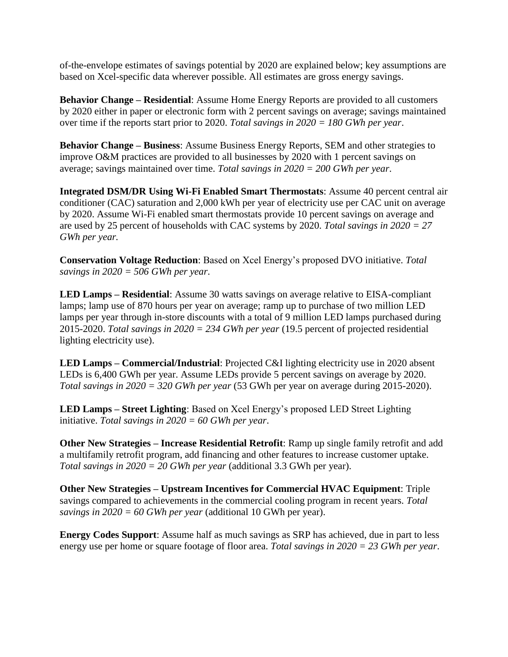of-the-envelope estimates of savings potential by 2020 are explained below; key assumptions are based on Xcel-specific data wherever possible. All estimates are gross energy savings.

**Behavior Change – Residential**: Assume Home Energy Reports are provided to all customers by 2020 either in paper or electronic form with 2 percent savings on average; savings maintained over time if the reports start prior to 2020. *Total savings in 2020 = 180 GWh per year*.

**Behavior Change – Business**: Assume Business Energy Reports, SEM and other strategies to improve O&M practices are provided to all businesses by 2020 with 1 percent savings on average; savings maintained over time. *Total savings in 2020 = 200 GWh per year*.

**Integrated DSM/DR Using Wi-Fi Enabled Smart Thermostats**: Assume 40 percent central air conditioner (CAC) saturation and 2,000 kWh per year of electricity use per CAC unit on average by 2020. Assume Wi-Fi enabled smart thermostats provide 10 percent savings on average and are used by 25 percent of households with CAC systems by 2020. *Total savings in 2020 = 27 GWh per year.* 

**Conservation Voltage Reduction**: Based on Xcel Energy's proposed DVO initiative. *Total savings in 2020 = 506 GWh per year*.

**LED Lamps – Residential**: Assume 30 watts savings on average relative to EISA-compliant lamps; lamp use of 870 hours per year on average; ramp up to purchase of two million LED lamps per year through in-store discounts with a total of 9 million LED lamps purchased during 2015-2020. *Total savings in 2020 = 234 GWh per year* (19.5 percent of projected residential lighting electricity use).

**LED Lamps – Commercial/Industrial**: Projected C&I lighting electricity use in 2020 absent LEDs is 6,400 GWh per year. Assume LEDs provide 5 percent savings on average by 2020. *Total savings in 2020 = 320 GWh per year* (53 GWh per year on average during 2015-2020).

**LED Lamps – Street Lighting**: Based on Xcel Energy's proposed LED Street Lighting initiative. *Total savings in 2020 = 60 GWh per year*.

**Other New Strategies – Increase Residential Retrofit**: Ramp up single family retrofit and add a multifamily retrofit program, add financing and other features to increase customer uptake. *Total savings in 2020 = 20 GWh per year* (additional 3.3 GWh per year).

**Other New Strategies – Upstream Incentives for Commercial HVAC Equipment**: Triple savings compared to achievements in the commercial cooling program in recent years. *Total savings in 2020 = 60 GWh per year* (additional 10 GWh per year).

**Energy Codes Support**: Assume half as much savings as SRP has achieved, due in part to less energy use per home or square footage of floor area. *Total savings in 2020 = 23 GWh per year*.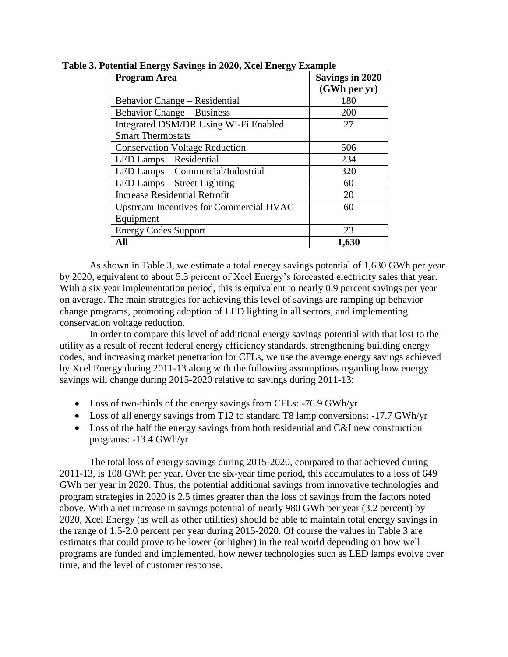| <b>Program Area</b>                            | <b>Savings in 2020</b> |  |  |
|------------------------------------------------|------------------------|--|--|
|                                                | (GWh per yr)           |  |  |
| Behavior Change – Residential                  | 180                    |  |  |
| <b>Behavior Change – Business</b>              | 200                    |  |  |
| Integrated DSM/DR Using Wi-Fi Enabled          | 27                     |  |  |
| <b>Smart Thermostats</b>                       |                        |  |  |
| <b>Conservation Voltage Reduction</b>          | 506                    |  |  |
| LED Lamps - Residential                        | 234                    |  |  |
| LED Lamps - Commercial/Industrial              | 320                    |  |  |
| LED Lamps – Street Lighting                    | 60                     |  |  |
| <b>Increase Residential Retrofit</b>           | 20                     |  |  |
| <b>Upstream Incentives for Commercial HVAC</b> | 60                     |  |  |
| Equipment                                      |                        |  |  |
| <b>Energy Codes Support</b>                    | 23                     |  |  |
| All                                            | 1,630                  |  |  |

**Table 3. Potential Energy Savings in 2020, Xcel Energy Example**

As shown in Table 3, we estimate a total energy savings potential of 1,630 GWh per year by 2020, equivalent to about 5.3 percent of Xcel Energy's forecasted electricity sales that year. With a six year implementation period, this is equivalent to nearly 0.9 percent savings per year on average. The main strategies for achieving this level of savings are ramping up behavior change programs, promoting adoption of LED lighting in all sectors, and implementing conservation voltage reduction.

In order to compare this level of additional energy savings potential with that lost to the utility as a result of recent federal energy efficiency standards, strengthening building energy codes, and increasing market penetration for CFLs, we use the average energy savings achieved by Xcel Energy during 2011-13 along with the following assumptions regarding how energy savings will change during 2015-2020 relative to savings during 2011-13:

- Loss of two-thirds of the energy savings from CFLs: -76.9 GWh/yr
- Loss of all energy savings from T12 to standard T8 lamp conversions: -17.7 GWh/yr
- Loss of the half the energy savings from both residential and C&I new construction programs: -13.4 GWh/yr

The total loss of energy savings during 2015-2020, compared to that achieved during 2011-13, is 108 GWh per year. Over the six-year time period, this accumulates to a loss of 649 GWh per year in 2020. Thus, the potential additional savings from innovative technologies and program strategies in 2020 is 2.5 times greater than the loss of savings from the factors noted above. With a net increase in savings potential of nearly 980 GWh per year (3.2 percent) by 2020, Xcel Energy (as well as other utilities) should be able to maintain total energy savings in the range of 1.5-2.0 percent per year during 2015-2020. Of course the values in Table 3 are estimates that could prove to be lower (or higher) in the real world depending on how well programs are funded and implemented, how newer technologies such as LED lamps evolve over time, and the level of customer response.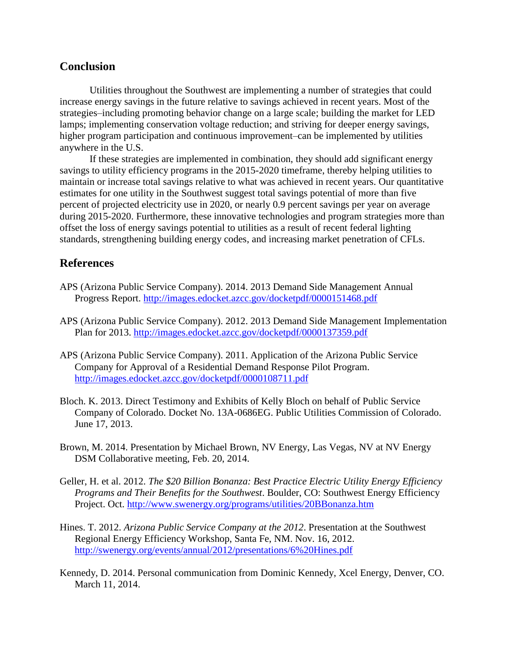## **Conclusion**

Utilities throughout the Southwest are implementing a number of strategies that could increase energy savings in the future relative to savings achieved in recent years. Most of the strategies–including promoting behavior change on a large scale; building the market for LED lamps; implementing conservation voltage reduction; and striving for deeper energy savings, higher program participation and continuous improvement–can be implemented by utilities anywhere in the U.S.

If these strategies are implemented in combination, they should add significant energy savings to utility efficiency programs in the 2015-2020 timeframe, thereby helping utilities to maintain or increase total savings relative to what was achieved in recent years. Our quantitative estimates for one utility in the Southwest suggest total savings potential of more than five percent of projected electricity use in 2020, or nearly 0.9 percent savings per year on average during 2015-2020. Furthermore, these innovative technologies and program strategies more than offset the loss of energy savings potential to utilities as a result of recent federal lighting standards, strengthening building energy codes, and increasing market penetration of CFLs.

## **References**

- APS (Arizona Public Service Company). 2014. 2013 Demand Side Management Annual Progress Report.<http://images.edocket.azcc.gov/docketpdf/0000151468.pdf>
- APS (Arizona Public Service Company). 2012. 2013 Demand Side Management Implementation Plan for 2013.<http://images.edocket.azcc.gov/docketpdf/0000137359.pdf>
- APS (Arizona Public Service Company). 2011. Application of the Arizona Public Service Company for Approval of a Residential Demand Response Pilot Program. <http://images.edocket.azcc.gov/docketpdf/0000108711.pdf>
- Bloch. K. 2013. Direct Testimony and Exhibits of Kelly Bloch on behalf of Public Service Company of Colorado. Docket No. 13A-0686EG. Public Utilities Commission of Colorado. June 17, 2013.
- Brown, M. 2014. Presentation by Michael Brown, NV Energy, Las Vegas, NV at NV Energy DSM Collaborative meeting, Feb. 20, 2014.
- Geller, H. et al. 2012. *The \$20 Billion Bonanza: Best Practice Electric Utility Energy Efficiency Programs and Their Benefits for the Southwest*. Boulder, CO: Southwest Energy Efficiency Project. Oct.<http://www.swenergy.org/programs/utilities/20BBonanza.htm>
- Hines. T. 2012. *Arizona Public Service Company at the 2012*. Presentation at the Southwest Regional Energy Efficiency Workshop, Santa Fe, NM. Nov. 16, 2012. <http://swenergy.org/events/annual/2012/presentations/6%20Hines.pdf>
- Kennedy, D. 2014. Personal communication from Dominic Kennedy, Xcel Energy, Denver, CO. March 11, 2014.